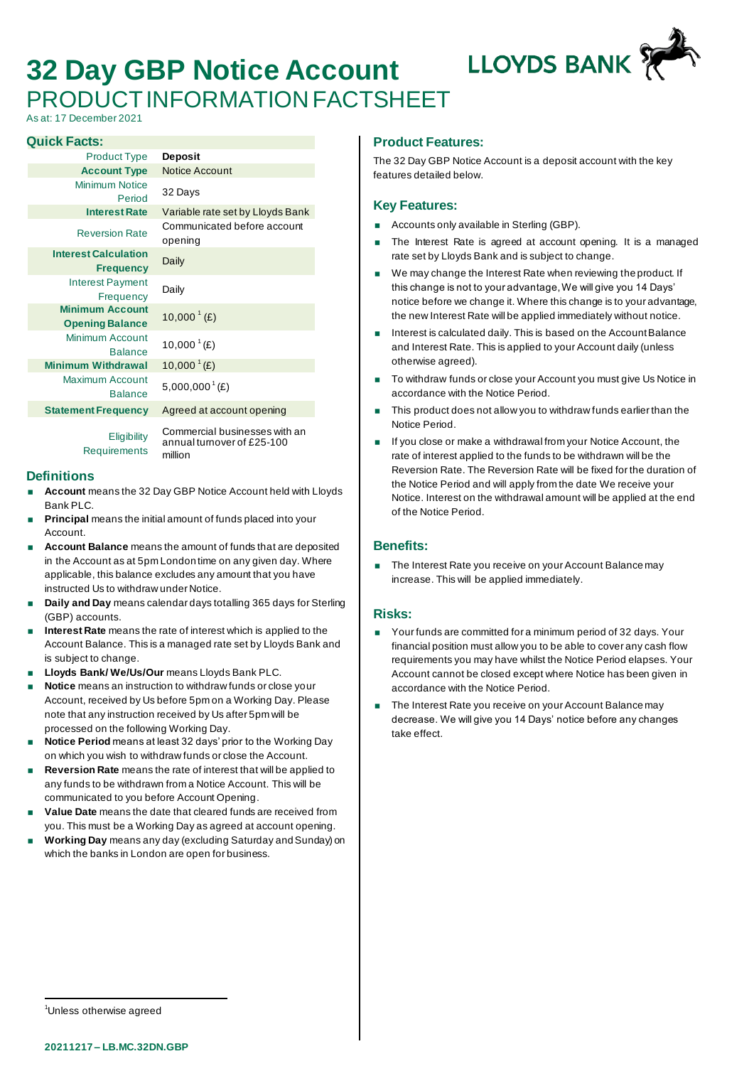# **32 Day GBP Notice Account** PRODUCT INFORMATION FACTSHEET

**LLOYDS BANK** 

As at: 17 December 2021

#### **Quick Facts:**

| <b>Product Type</b>                              | Deposit                                                                |
|--------------------------------------------------|------------------------------------------------------------------------|
| <b>Account Type</b>                              | <b>Notice Account</b>                                                  |
| Minimum Notice<br>Period                         | 32 Days                                                                |
| <b>Interest Rate</b>                             | Variable rate set by Lloyds Bank                                       |
| <b>Reversion Rate</b>                            | Communicated before account<br>opening                                 |
| <b>Interest Calculation</b><br><b>Frequency</b>  | Daily                                                                  |
| <b>Interest Payment</b><br>Frequency             | Daily                                                                  |
| <b>Minimum Account</b><br><b>Opening Balance</b> | 10,000 <sup><math>^{1}</math></sup> (£)                                |
| Minimum Account<br><b>Balance</b>                | 10,000 $^{1}(E)$                                                       |
| <b>Minimum Withdrawal</b>                        | $10,000^{\text{T}}(E)$                                                 |
| Maximum Account<br><b>Balance</b>                | $5,000,000$ <sup>1</sup> (£)                                           |
| <b>Statement Frequency</b>                       | Agreed at account opening                                              |
| Eligibility<br><b>Requirements</b>               | Commercial businesses with an<br>annual turnover of £25-100<br>million |

## **Definitions**

- **Account** means the 32 Day GBP Notice Account held with Lloyds Bank PLC.
- **Principal** means the initial amount of funds placed into your Account.
- **Account Balance** means the amount of funds that are deposited in the Account as at 5pm London time on any given day. Where applicable, this balance excludes any amount that you have instructed Us to withdraw under Notice.
- **Daily and Day** means calendar days totalling 365 days for Sterling (GBP) accounts.
- **Interest Rate** means the rate of interest which is applied to the Account Balance. This is a managed rate set by Lloyds Bank and is subject to change.
- **Lloyds Bank/ We/Us/Our** means Lloyds Bank PLC.
- **Notice** means an instruction to withdraw funds or close your Account, received by Us before 5pm on a Working Day. Please note that any instruction received by Us after 5pm will be processed on the following Working Day.
- **Notice Period** means at least 32 days' prior to the Working Day on which you wish to withdraw funds or close the Account.
- **Reversion Rate** means the rate of interest that will be applied to any funds to be withdrawn from a Notice Account. This will be communicated to you before Account Opening.
- **Value Date** means the date that cleared funds are received from you. This must be a Working Day as agreed at account opening.
- **Working Day** means any day (excluding Saturday and Sunday) on which the banks in London are open for business.

## **Product Features:**

The 32 Day GBP Notice Account is a deposit account with the key features detailed below.

## **Key Features:**

- **Accounts only available in Sterling (GBP).**
- The Interest Rate is agreed at account opening. It is a managed rate set by Lloyds Bank and is subject to change.
- We may change the Interest Rate when reviewing the product. If this change is not to your advantage, We will give you 14 Days' notice before we change it. Where this change is to your advantage, the new Interest Rate will be applied immediately without notice.
- Interest is calculated daily. This is based on the Account Balance and Interest Rate. This is applied to your Account daily (unless otherwise agreed).
- To withdraw funds or close your Account you must give Us Notice in accordance with the Notice Period.
- This product does not allow you to withdraw funds earlier than the Notice Period.
- If you close or make a withdrawal from your Notice Account, the rate of interest applied to the funds to be withdrawn will be the Reversion Rate. The Reversion Rate will be fixed for the duration of the Notice Period and will apply from the date We receive your Notice. Interest on the withdrawal amount will be applied at the end of the Notice Period.

## **Benefits:**

 The Interest Rate you receive on your Account Balance may increase. This will be applied immediately.

## **Risks:**

- Your funds are committed for a minimum period of 32 days. Your financial position must allow you to be able to cover any cash flow requirements you may have whilst the Notice Period elapses. Your Account cannot be closed except where Notice has been given in accordance with the Notice Period.
- The Interest Rate you receive on your Account Balance may decrease. We will give you 14 Days' notice before any changes take effect.

<sup>1</sup>Unless otherwise agreed